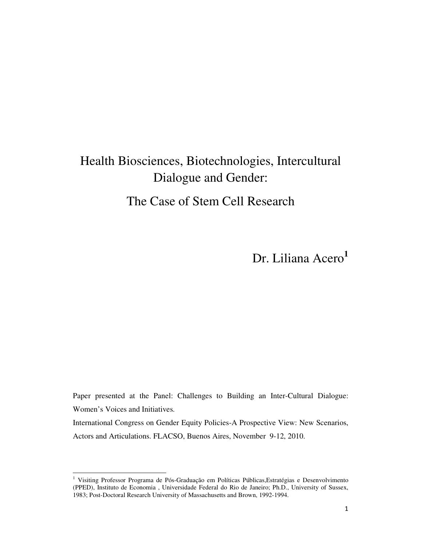# Health Biosciences, Biotechnologies, Intercultural Dialogue and Gender: The Case of Stem Cell Research

Dr. Liliana Acero<sup>1</sup>

Paper presented at the Panel: Challenges to Building an Inter-Cultural Dialogue: Women's Voices and Initiatives.

International Congress on Gender Equity Policies-A Prospective View: New Scenarios, Actors and Articulations. FLACSO, Buenos Aires, November 9-12, 2010.

<sup>&</sup>lt;sup>1</sup> Visiting Professor Programa de Pós-Graduação em Políticas Públicas, Estratégias e Desenvolvimento (PPED), Instituto de Economia , Universidade Federal do Rio de Janeiro; Ph.D., University of Sussex, 1983; Post-Doctoral Research University of Massachusetts and Brown, 1992-1994.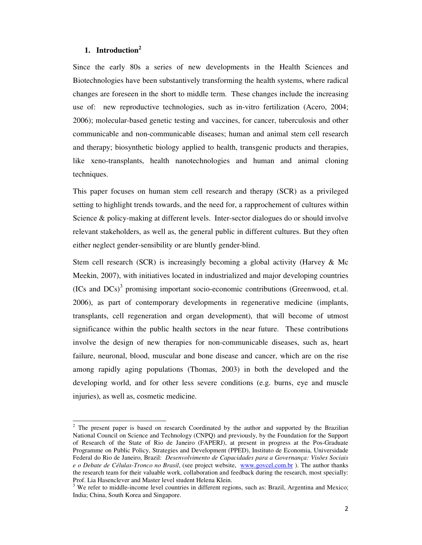## **1. Introduction<sup>2</sup>**

 $\overline{a}$ 

Since the early 80s a series of new developments in the Health Sciences and Biotechnologies have been substantively transforming the health systems, where radical changes are foreseen in the short to middle term. These changes include the increasing use of: new reproductive technologies, such as in-vitro fertilization (Acero, 2004; 2006); molecular-based genetic testing and vaccines, for cancer, tuberculosis and other communicable and non-communicable diseases; human and animal stem cell research and therapy; biosynthetic biology applied to health, transgenic products and therapies, like xeno-transplants, health nanotechnologies and human and animal cloning techniques.

This paper focuses on human stem cell research and therapy (SCR) as a privileged setting to highlight trends towards, and the need for, a rapprochement of cultures within Science & policy-making at different levels. Inter-sector dialogues do or should involve relevant stakeholders, as well as, the general public in different cultures. But they often either neglect gender-sensibility or are bluntly gender-blind.

Stem cell research (SCR) is increasingly becoming a global activity (Harvey & Mc Meekin, 2007), with initiatives located in industrialized and major developing countries (ICs and DCs)<sup>3</sup> promising important socio-economic contributions (Greenwood, et.al. 2006), as part of contemporary developments in regenerative medicine (implants, transplants, cell regeneration and organ development), that will become of utmost significance within the public health sectors in the near future. These contributions involve the design of new therapies for non-communicable diseases, such as, heart failure, neuronal, blood, muscular and bone disease and cancer, which are on the rise among rapidly aging populations (Thomas, 2003) in both the developed and the developing world, and for other less severe conditions (e.g. burns, eye and muscle injuries), as well as, cosmetic medicine.

 $2^2$  The present paper is based on research Coordinated by the author and supported by the Brazilian National Council on Science and Technology (CNPQ) and previously, by the Foundation for the Support of Research of the State of Rio de Janeiro (FAPERJ), at present in progress at the Pos-Graduate Programme on Public Policy, Strategies and Development (PPED), Instituto de Economia, Universidade Federal do Rio de Janeiro, Brazil: *Desenvolvimento de Capacidades para a Governança: Visões Sociais e o Debate de Células-Tronco no Brasil*, (see project website, www.govcel.com.br ). The author thanks the research team for their valuable work, collaboration and feedback during the research, most specially: Prof. Lia Hasenclever and Master level student Helena Klein.

<sup>&</sup>lt;sup>3</sup> We refer to middle-income level countries in different regions, such as: Brazil, Argentina and Mexico; India; China, South Korea and Singapore.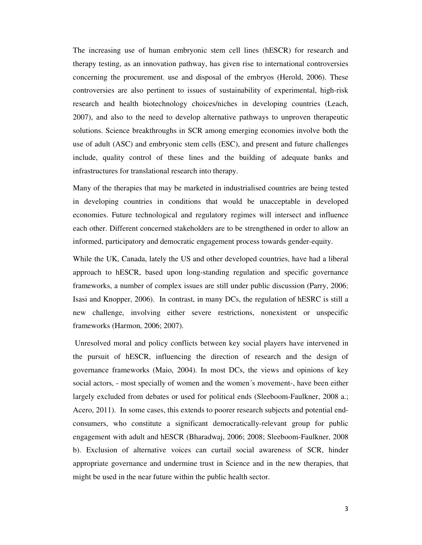The increasing use of human embryonic stem cell lines (hESCR) for research and therapy testing, as an innovation pathway, has given rise to international controversies concerning the procurement, use and disposal of the embryos (Herold, 2006). These controversies are also pertinent to issues of sustainability of experimental, high-risk research and health biotechnology choices/niches in developing countries (Leach, 2007), and also to the need to develop alternative pathways to unproven therapeutic solutions. Science breakthroughs in SCR among emerging economies involve both the use of adult (ASC) and embryonic stem cells (ESC), and present and future challenges include, quality control of these lines and the building of adequate banks and infrastructures for translational research into therapy.

Many of the therapies that may be marketed in industrialised countries are being tested in developing countries in conditions that would be unacceptable in developed economies. Future technological and regulatory regimes will intersect and influence each other. Different concerned stakeholders are to be strengthened in order to allow an informed, participatory and democratic engagement process towards gender-equity.

While the UK, Canada, lately the US and other developed countries, have had a liberal approach to hESCR, based upon long-standing regulation and specific governance frameworks, a number of complex issues are still under public discussion (Parry, 2006; Isasi and Knopper, 2006). In contrast, in many DCs, the regulation of hESRC is still a new challenge, involving either severe restrictions, nonexistent or unspecific frameworks (Harmon, 2006; 2007).

 Unresolved moral and policy conflicts between key social players have intervened in the pursuit of hESCR, influencing the direction of research and the design of governance frameworks (Maio, 2004). In most DCs, the views and opinions of key social actors, - most specially of women and the women´s movement-, have been either largely excluded from debates or used for political ends (Sleeboom-Faulkner, 2008 a.; Acero, 2011). In some cases, this extends to poorer research subjects and potential endconsumers, who constitute a significant democratically-relevant group for public engagement with adult and hESCR (Bharadwaj, 2006; 2008; Sleeboom-Faulkner, 2008 b). Exclusion of alternative voices can curtail social awareness of SCR, hinder appropriate governance and undermine trust in Science and in the new therapies, that might be used in the near future within the public health sector.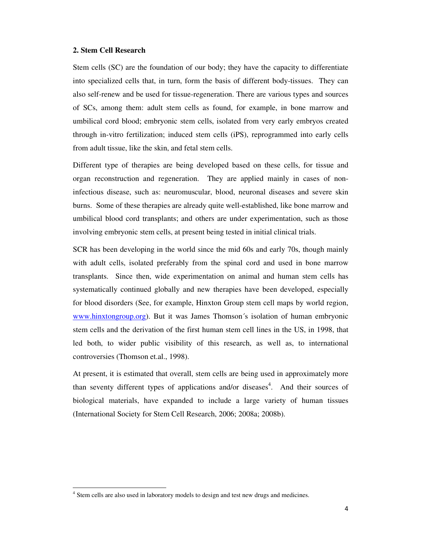#### **2. Stem Cell Research**

Stem cells (SC) are the foundation of our body; they have the capacity to differentiate into specialized cells that, in turn, form the basis of different body-tissues. They can also self-renew and be used for tissue-regeneration. There are various types and sources of SCs, among them: adult stem cells as found, for example, in bone marrow and umbilical cord blood; embryonic stem cells, isolated from very early embryos created through in-vitro fertilization; induced stem cells (iPS), reprogrammed into early cells from adult tissue, like the skin, and fetal stem cells.

Different type of therapies are being developed based on these cells, for tissue and organ reconstruction and regeneration. They are applied mainly in cases of noninfectious disease, such as: neuromuscular, blood, neuronal diseases and severe skin burns. Some of these therapies are already quite well-established, like bone marrow and umbilical blood cord transplants; and others are under experimentation, such as those involving embryonic stem cells, at present being tested in initial clinical trials.

SCR has been developing in the world since the mid 60s and early 70s, though mainly with adult cells, isolated preferably from the spinal cord and used in bone marrow transplants. Since then, wide experimentation on animal and human stem cells has systematically continued globally and new therapies have been developed, especially for blood disorders (See, for example, Hinxton Group stem cell maps by world region, www.hinxtongroup.org). But it was James Thomson´s isolation of human embryonic stem cells and the derivation of the first human stem cell lines in the US, in 1998, that led both, to wider public visibility of this research, as well as, to international controversies (Thomson et.al., 1998).

At present, it is estimated that overall, stem cells are being used in approximately more than seventy different types of applications and/or diseases<sup>4</sup>. And their sources of biological materials, have expanded to include a large variety of human tissues (International Society for Stem Cell Research, 2006; 2008a; 2008b).

<sup>&</sup>lt;sup>4</sup> Stem cells are also used in laboratory models to design and test new drugs and medicines.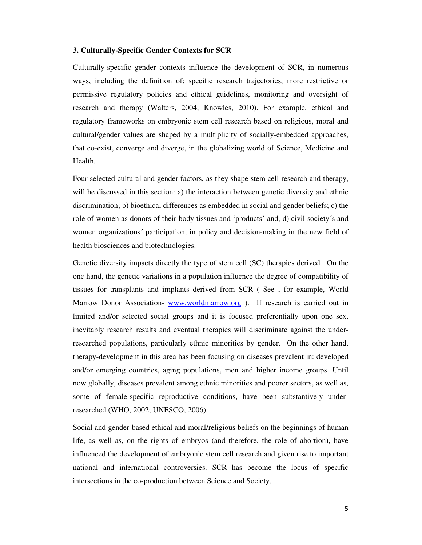#### **3. Culturally-Specific Gender Contexts for SCR**

Culturally-specific gender contexts influence the development of SCR, in numerous ways, including the definition of: specific research trajectories, more restrictive or permissive regulatory policies and ethical guidelines, monitoring and oversight of research and therapy (Walters, 2004; Knowles, 2010). For example, ethical and regulatory frameworks on embryonic stem cell research based on religious, moral and cultural/gender values are shaped by a multiplicity of socially-embedded approaches, that co-exist, converge and diverge, in the globalizing world of Science, Medicine and Health.

Four selected cultural and gender factors, as they shape stem cell research and therapy, will be discussed in this section: a) the interaction between genetic diversity and ethnic discrimination; b) bioethical differences as embedded in social and gender beliefs; c) the role of women as donors of their body tissues and 'products' and, d) civil society´s and women organizations´ participation, in policy and decision-making in the new field of health biosciences and biotechnologies.

Genetic diversity impacts directly the type of stem cell (SC) therapies derived. On the one hand, the genetic variations in a population influence the degree of compatibility of tissues for transplants and implants derived from SCR ( See , for example, World Marrow Donor Association- www.worldmarrow.org ). If research is carried out in limited and/or selected social groups and it is focused preferentially upon one sex, inevitably research results and eventual therapies will discriminate against the underresearched populations, particularly ethnic minorities by gender. On the other hand, therapy-development in this area has been focusing on diseases prevalent in: developed and/or emerging countries, aging populations, men and higher income groups. Until now globally, diseases prevalent among ethnic minorities and poorer sectors, as well as, some of female-specific reproductive conditions, have been substantively underresearched (WHO, 2002; UNESCO, 2006).

Social and gender-based ethical and moral/religious beliefs on the beginnings of human life, as well as, on the rights of embryos (and therefore, the role of abortion), have influenced the development of embryonic stem cell research and given rise to important national and international controversies. SCR has become the locus of specific intersections in the co-production between Science and Society.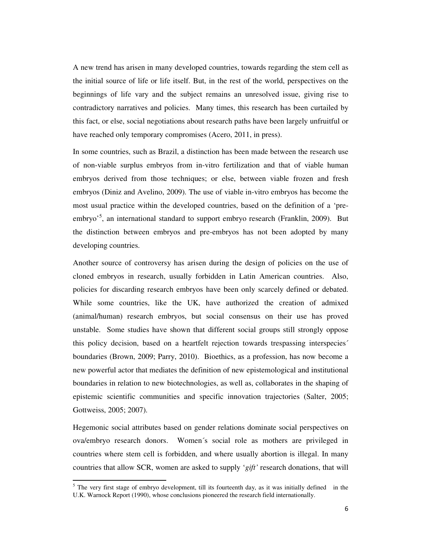A new trend has arisen in many developed countries, towards regarding the stem cell as the initial source of life or life itself. But, in the rest of the world, perspectives on the beginnings of life vary and the subject remains an unresolved issue, giving rise to contradictory narratives and policies. Many times, this research has been curtailed by this fact, or else, social negotiations about research paths have been largely unfruitful or have reached only temporary compromises (Acero, 2011, in press).

In some countries, such as Brazil, a distinction has been made between the research use of non-viable surplus embryos from in-vitro fertilization and that of viable human embryos derived from those techniques; or else, between viable frozen and fresh embryos (Diniz and Avelino, 2009). The use of viable in-vitro embryos has become the most usual practice within the developed countries, based on the definition of a 'preembryo<sup>5</sup>, an international standard to support embryo research (Franklin, 2009). But the distinction between embryos and pre-embryos has not been adopted by many developing countries.

Another source of controversy has arisen during the design of policies on the use of cloned embryos in research, usually forbidden in Latin American countries. Also, policies for discarding research embryos have been only scarcely defined or debated. While some countries, like the UK, have authorized the creation of admixed (animal/human) research embryos, but social consensus on their use has proved unstable. Some studies have shown that different social groups still strongly oppose this policy decision, based on a heartfelt rejection towards trespassing interspecies´ boundaries (Brown, 2009; Parry, 2010). Bioethics, as a profession, has now become a new powerful actor that mediates the definition of new epistemological and institutional boundaries in relation to new biotechnologies, as well as, collaborates in the shaping of epistemic scientific communities and specific innovation trajectories (Salter, 2005; Gottweiss, 2005; 2007).

Hegemonic social attributes based on gender relations dominate social perspectives on ova/embryo research donors. Women´s social role as mothers are privileged in countries where stem cell is forbidden, and where usually abortion is illegal. In many countries that allow SCR, women are asked to supply '*gift'* research donations, that will

 $<sup>5</sup>$  The very first stage of embryo development, till its fourteenth day, as it was initially defined in the</sup> U.K. Warnock Report (1990), whose conclusions pioneered the research field internationally.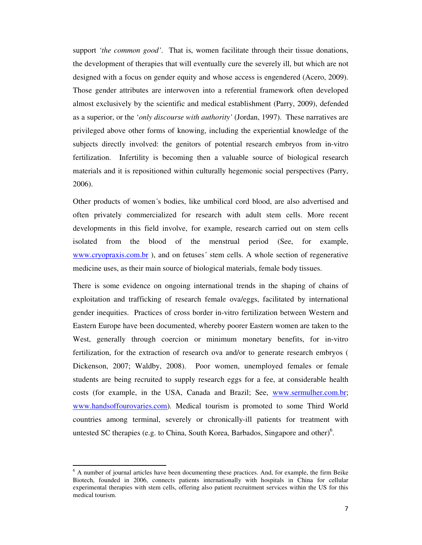support *'the common good'*. That is, women facilitate through their tissue donations, the development of therapies that will eventually cure the severely ill, but which are not designed with a focus on gender equity and whose access is engendered (Acero, 2009). Those gender attributes are interwoven into a referential framework often developed almost exclusively by the scientific and medical establishment (Parry, 2009), defended as a superior, or the '*only discourse with authority'* (Jordan, 1997). These narratives are privileged above other forms of knowing, including the experiential knowledge of the subjects directly involved: the genitors of potential research embryos from in-vitro fertilization. Infertility is becoming then a valuable source of biological research materials and it is repositioned within culturally hegemonic social perspectives (Parry, 2006).

Other products of women´s bodies, like umbilical cord blood, are also advertised and often privately commercialized for research with adult stem cells. More recent developments in this field involve, for example, research carried out on stem cells isolated from the blood of the menstrual period (See, for example, www.cryopraxis.com.br ), and on fetuses´ stem cells. A whole section of regenerative medicine uses, as their main source of biological materials, female body tissues.

There is some evidence on ongoing international trends in the shaping of chains of exploitation and trafficking of research female ova/eggs, facilitated by international gender inequities. Practices of cross border in-vitro fertilization between Western and Eastern Europe have been documented, whereby poorer Eastern women are taken to the West, generally through coercion or minimum monetary benefits, for in-vitro fertilization, for the extraction of research ova and/or to generate research embryos ( Dickenson, 2007; Waldby, 2008). Poor women, unemployed females or female students are being recruited to supply research eggs for a fee, at considerable health costs (for example, in the USA, Canada and Brazil; See, www.sermulher.com.br; www.handsoffourovaries.com). Medical tourism is promoted to some Third World countries among terminal, severely or chronically-ill patients for treatment with untested SC therapies (e.g. to China, South Korea, Barbados, Singapore and other) $6$ .

<sup>&</sup>lt;sup>6</sup> A number of journal articles have been documenting these practices. And, for example, the firm Beike Biotech, founded in 2006, connects patients internationally with hospitals in China for cellular experimental therapies with stem cells, offering also patient recruitment services within the US for this medical tourism.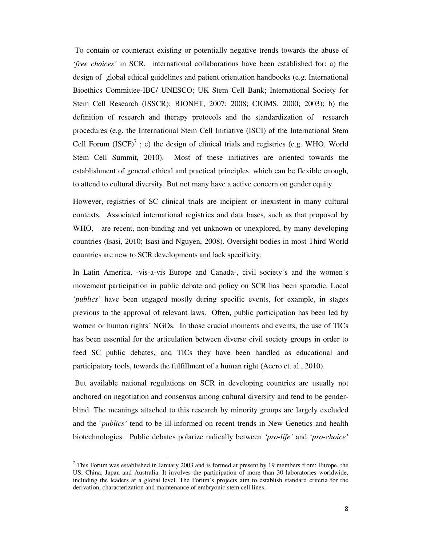To contain or counteract existing or potentially negative trends towards the abuse of '*free choices'* in SCR, international collaborations have been established for: a) the design of global ethical guidelines and patient orientation handbooks (e.g. International Bioethics Committee-IBC/ UNESCO; UK Stem Cell Bank; International Society for Stem Cell Research (ISSCR); BIONET, 2007; 2008; CIOMS, 2000; 2003); b) the definition of research and therapy protocols and the standardization of research procedures (e.g. the International Stem Cell Initiative (ISCI) of the International Stem Cell Forum  $(ISCF)^7$ ; c) the design of clinical trials and registries (e.g. WHO, World Stem Cell Summit, 2010). Most of these initiatives are oriented towards the establishment of general ethical and practical principles, which can be flexible enough, to attend to cultural diversity. But not many have a active concern on gender equity.

However, registries of SC clinical trials are incipient or inexistent in many cultural contexts. Associated international registries and data bases, such as that proposed by WHO, are recent, non-binding and yet unknown or unexplored, by many developing countries (Isasi, 2010; Isasi and Nguyen, 2008). Oversight bodies in most Third World countries are new to SCR developments and lack specificity.

In Latin America, -vis-a-vis Europe and Canada-, civil society´s and the women´s movement participation in public debate and policy on SCR has been sporadic. Local '*publics'* have been engaged mostly during specific events, for example, in stages previous to the approval of relevant laws. Often, public participation has been led by women or human rights´ NGOs. In those crucial moments and events, the use of TICs has been essential for the articulation between diverse civil society groups in order to feed SC public debates, and TICs they have been handled as educational and participatory tools, towards the fulfillment of a human right (Acero et. al., 2010).

 But available national regulations on SCR in developing countries are usually not anchored on negotiation and consensus among cultural diversity and tend to be genderblind. The meanings attached to this research by minority groups are largely excluded and the *'publics'* tend to be ill-informed on recent trends in New Genetics and health biotechnologies. Public debates polarize radically between *'pro-life'* and '*pro-choice'*

 $<sup>7</sup>$  This Forum was established in January 2003 and is formed at present by 19 members from: Europe, the</sup> US, China, Japan and Australia. It involves the participation of more than 30 laboratories worldwide, including the leaders at a global level. The Forum´s projects aim to establish standard criteria for the derivation, characterization and maintenance of embryonic stem cell lines.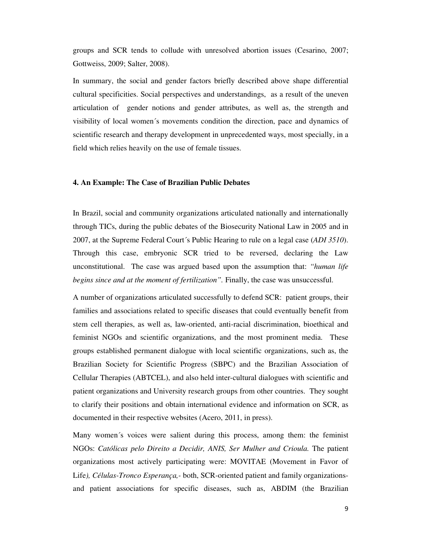groups and SCR tends to collude with unresolved abortion issues (Cesarino, 2007; Gottweiss, 2009; Salter, 2008).

In summary, the social and gender factors briefly described above shape differential cultural specificities. Social perspectives and understandings, as a result of the uneven articulation of gender notions and gender attributes, as well as, the strength and visibility of local women´s movements condition the direction, pace and dynamics of scientific research and therapy development in unprecedented ways, most specially, in a field which relies heavily on the use of female tissues.

#### **4. An Example: The Case of Brazilian Public Debates**

In Brazil, social and community organizations articulated nationally and internationally through TICs, during the public debates of the Biosecurity National Law in 2005 and in 2007, at the Supreme Federal Court´s Public Hearing to rule on a legal case (*ADI 3510*). Through this case, embryonic SCR tried to be reversed, declaring the Law unconstitutional. The case was argued based upon the assumption that: *"human life begins since and at the moment of fertilization".* Finally, the case was unsuccessful.

A number of organizations articulated successfully to defend SCR: patient groups, their families and associations related to specific diseases that could eventually benefit from stem cell therapies, as well as, law-oriented, anti-racial discrimination, bioethical and feminist NGOs and scientific organizations, and the most prominent media. These groups established permanent dialogue with local scientific organizations, such as, the Brazilian Society for Scientific Progress (SBPC) and the Brazilian Association of Cellular Therapies (ABTCEL), and also held inter-cultural dialogues with scientific and patient organizations and University research groups from other countries. They sought to clarify their positions and obtain international evidence and information on SCR, as documented in their respective websites (Acero, 2011, in press).

Many women´s voices were salient during this process, among them: the feminist NGOs: *Católicas pelo Direito a Decidir, ANIS, Ser Mulher and Crioula.* The patient organizations most actively participating were: MOVITAE (Movement in Favor of Life*), Células-Tronco Esperança,-* both, SCR-oriented patient and family organizationsand patient associations for specific diseases, such as, ABDIM (the Brazilian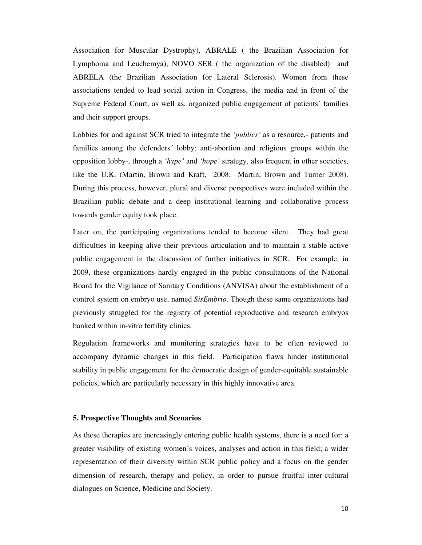Association for Muscular Dystrophy), ABRALE ( the Brazilian Association for Lymphoma and Leuchemya), NOVO SER ( the organization of the disabled) and ABRELA (the Brazilian Association for Lateral Sclerosis). Women from these associations tended to lead social action in Congress, the media and in front of the Supreme Federal Court, as well as, organized public engagement of patients´ families and their support groups.

Lobbies for and against SCR tried to integrate the *'publics'* as a resource,- patients and families among the defenders´ lobby; anti-abortion and religious groups within the opposition lobby-, through a *'hype'* and *'hope'* strategy, also frequent in other societies, like the U.K. (Martin, Brown and Kraft, 2008; Martin, Brown and Turner 2008). During this process, however, plural and diverse perspectives were included within the Brazilian public debate and a deep institutional learning and collaborative process towards gender equity took place.

Later on, the participating organizations tended to become silent. They had great difficulties in keeping alive their previous articulation and to maintain a stable active public engagement in the discussion of further initiatives in SCR. For example, in 2009, these organizations hardly engaged in the public consultations of the National Board for the Vigilance of Sanitary Conditions (ANVISA) about the establishment of a control system on embryo use, named *SisEmbrio*. Though these same organizations had previously struggled for the registry of potential reproductive and research embryos banked within in-vitro fertility clinics.

Regulation frameworks and monitoring strategies have to be often reviewed to accompany dynamic changes in this field. Participation flaws hinder institutional stability in public engagement for the democratic design of gender-equitable sustainable policies, which are particularly necessary in this highly innovative area.

#### **5. Prospective Thoughts and Scenarios**

As these therapies are increasingly entering public health systems, there is a need for: a greater visibility of existing women´s voices, analyses and action in this field; a wider representation of their diversity within SCR public policy and a focus on the gender dimension of research, therapy and policy, in order to pursue fruitful inter-cultural dialogues on Science, Medicine and Society.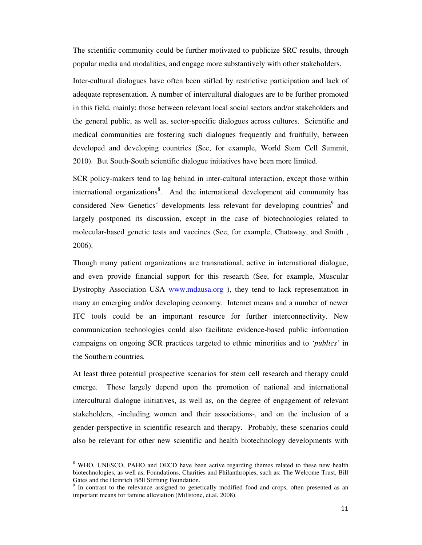The scientific community could be further motivated to publicize SRC results, through popular media and modalities, and engage more substantively with other stakeholders.

Inter-cultural dialogues have often been stifled by restrictive participation and lack of adequate representation. A number of intercultural dialogues are to be further promoted in this field, mainly: those between relevant local social sectors and/or stakeholders and the general public, as well as, sector-specific dialogues across cultures. Scientific and medical communities are fostering such dialogues frequently and fruitfully, between developed and developing countries (See, for example, World Stem Cell Summit, 2010). But South-South scientific dialogue initiatives have been more limited.

SCR policy-makers tend to lag behind in inter-cultural interaction, except those within international organizations<sup>8</sup>. And the international development aid community has considered New Genetics' developments less relevant for developing countries<sup>9</sup> and largely postponed its discussion, except in the case of biotechnologies related to molecular-based genetic tests and vaccines (See, for example, Chataway, and Smith , 2006).

Though many patient organizations are transnational, active in international dialogue, and even provide financial support for this research (See, for example, Muscular Dystrophy Association USA www.mdausa.org), they tend to lack representation in many an emerging and/or developing economy. Internet means and a number of newer ITC tools could be an important resource for further interconnectivity. New communication technologies could also facilitate evidence-based public information campaigns on ongoing SCR practices targeted to ethnic minorities and to *'publics'* in the Southern countries.

At least three potential prospective scenarios for stem cell research and therapy could emerge. These largely depend upon the promotion of national and international intercultural dialogue initiatives, as well as, on the degree of engagement of relevant stakeholders, -including women and their associations-, and on the inclusion of a gender-perspective in scientific research and therapy. Probably, these scenarios could also be relevant for other new scientific and health biotechnology developments with

<sup>&</sup>lt;sup>8</sup> WHO, UNESCO, PAHO and OECD have been active regarding themes related to these new health biotechnologies, as well as, Foundations, Charities and Philanthropies, such as: The Welcome Trust, Bill Gates and the Heinrich Böll Stiftung Foundation.

<sup>&</sup>lt;sup>9</sup> In contrast to the relevance assigned to genetically modified food and crops, often presented as an important means for famine alleviation (Millstone, et.al. 2008).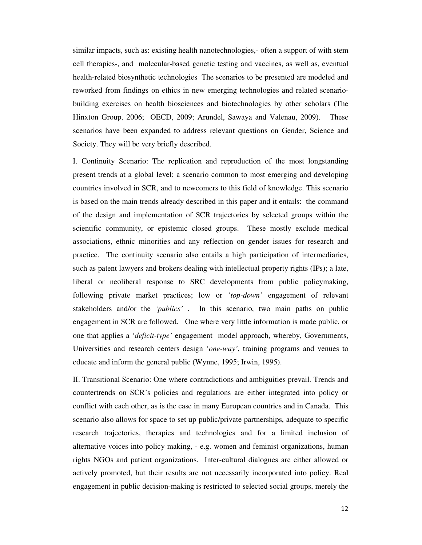similar impacts, such as: existing health nanotechnologies,- often a support of with stem cell therapies-, and molecular-based genetic testing and vaccines, as well as, eventual health-related biosynthetic technologies The scenarios to be presented are modeled and reworked from findings on ethics in new emerging technologies and related scenariobuilding exercises on health biosciences and biotechnologies by other scholars (The Hinxton Group, 2006; OECD, 2009; Arundel, Sawaya and Valenau, 2009). These scenarios have been expanded to address relevant questions on Gender, Science and Society. They will be very briefly described.

I. Continuity Scenario: The replication and reproduction of the most longstanding present trends at a global level; a scenario common to most emerging and developing countries involved in SCR, and to newcomers to this field of knowledge. This scenario is based on the main trends already described in this paper and it entails: the command of the design and implementation of SCR trajectories by selected groups within the scientific community, or epistemic closed groups. These mostly exclude medical associations, ethnic minorities and any reflection on gender issues for research and practice. The continuity scenario also entails a high participation of intermediaries, such as patent lawyers and brokers dealing with intellectual property rights (IPs); a late, liberal or neoliberal response to SRC developments from public policymaking, following private market practices; low or '*top-down'* engagement of relevant stakeholders and/or the *'publics'* . In this scenario, two main paths on public engagement in SCR are followed. One where very little information is made public, or one that applies a '*deficit-type'* engagement model approach, whereby, Governments, Universities and research centers design '*one-way'*, training programs and venues to educate and inform the general public (Wynne, 1995; Irwin, 1995).

II. Transitional Scenario: One where contradictions and ambiguities prevail. Trends and countertrends on SCR´s policies and regulations are either integrated into policy or conflict with each other, as is the case in many European countries and in Canada. This scenario also allows for space to set up public/private partnerships, adequate to specific research trajectories, therapies and technologies and for a limited inclusion of alternative voices into policy making, - e.g. women and feminist organizations, human rights NGOs and patient organizations. Inter-cultural dialogues are either allowed or actively promoted, but their results are not necessarily incorporated into policy. Real engagement in public decision-making is restricted to selected social groups, merely the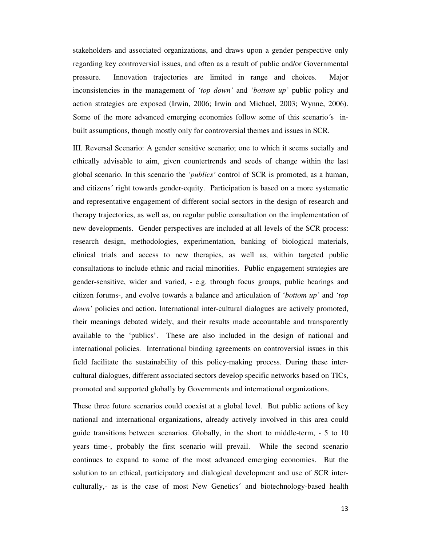stakeholders and associated organizations, and draws upon a gender perspective only regarding key controversial issues, and often as a result of public and/or Governmental pressure. Innovation trajectories are limited in range and choices. Major inconsistencies in the management of *'top down'* and '*bottom up'* public policy and action strategies are exposed (Irwin, 2006; Irwin and Michael, 2003; Wynne, 2006). Some of the more advanced emerging economies follow some of this scenario´s inbuilt assumptions, though mostly only for controversial themes and issues in SCR.

III. Reversal Scenario: A gender sensitive scenario; one to which it seems socially and ethically advisable to aim, given countertrends and seeds of change within the last global scenario. In this scenario the *'publics'* control of SCR is promoted, as a human, and citizens´ right towards gender-equity. Participation is based on a more systematic and representative engagement of different social sectors in the design of research and therapy trajectories, as well as, on regular public consultation on the implementation of new developments. Gender perspectives are included at all levels of the SCR process: research design, methodologies, experimentation, banking of biological materials, clinical trials and access to new therapies, as well as, within targeted public consultations to include ethnic and racial minorities. Public engagement strategies are gender-sensitive, wider and varied, - e.g. through focus groups, public hearings and citizen forums-, and evolve towards a balance and articulation of '*bottom up'* and *'top down'* policies and action. International inter-cultural dialogues are actively promoted, their meanings debated widely, and their results made accountable and transparently available to the 'publics'. These are also included in the design of national and international policies. International binding agreements on controversial issues in this field facilitate the sustainability of this policy-making process. During these intercultural dialogues, different associated sectors develop specific networks based on TICs, promoted and supported globally by Governments and international organizations.

These three future scenarios could coexist at a global level. But public actions of key national and international organizations, already actively involved in this area could guide transitions between scenarios. Globally, in the short to middle-term, - 5 to 10 years time-, probably the first scenario will prevail. While the second scenario continues to expand to some of the most advanced emerging economies. But the solution to an ethical, participatory and dialogical development and use of SCR interculturally,- as is the case of most New Genetics´ and biotechnology-based health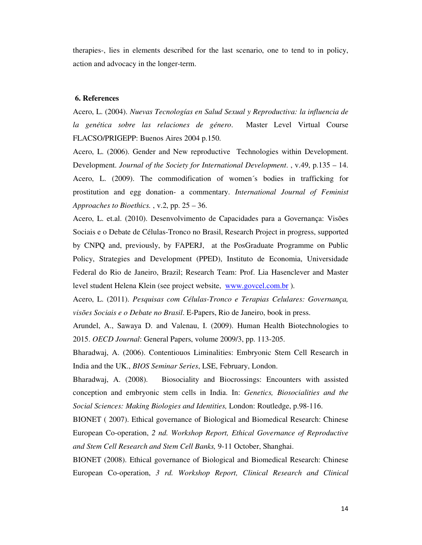therapies-, lies in elements described for the last scenario, one to tend to in policy, action and advocacy in the longer-term.

### **6. References**

Acero, L. (2004). *Nuevas Tecnologías en Salud Sexual y Reproductiva: la influencia de la genética sobre las relaciones de género*. Master Level Virtual Course FLACSO/PRIGEPP: Buenos Aires 2004 p.150.

Acero, L. (2006). Gender and New reproductive Technologies within Development. Development. *Journal of the Society for International Development*. , v.49, p.135 – 14. Acero, L. (2009). The commodification of women´s bodies in trafficking for prostitution and egg donation- a commentary. *International Journal of Feminist Approaches to Bioethics.* , v.2, pp. 25 – 36.

Acero, L. et.al. (2010). Desenvolvimento de Capacidades para a Governança: Visões Sociais e o Debate de Células-Tronco no Brasil, Research Project in progress, supported by CNPQ and, previously, by FAPERJ, at the PosGraduate Programme on Public Policy, Strategies and Development (PPED), Instituto de Economia, Universidade Federal do Rio de Janeiro, Brazil; Research Team: Prof. Lia Hasenclever and Master level student Helena Klein (see project website, www.govcel.com.br ).

Acero, L. (2011). *Pesquisas com Células-Tronco e Terapias Celulares: Governança, visões Sociais e o Debate no Brasil*. E-Papers, Rio de Janeiro, book in press.

Arundel, A., Sawaya D. and Valenau, I. (2009). Human Health Biotechnologies to 2015. *OECD Journal*: General Papers, volume 2009/3, pp. 113-205.

Bharadwaj, A. (2006). Contentiouos Liminalities: Embryonic Stem Cell Research in India and the UK., *BIOS Seminar Series*, LSE, February, London.

Bharadwaj, A. (2008). Biosociality and Biocrossings: Encounters with assisted conception and embryonic stem cells in India. In: *Genetics, Biosocialities and the Social Sciences: Making Biologies and Identities,* London: Routledge, p.98-116.

BIONET ( 2007). Ethical governance of Biological and Biomedical Research: Chinese European Co-operation, *2 nd. Workshop Report, Ethical Governance of Reproductive and Stem Cell Research and Stem Cell Banks,* 9-11 October, Shanghai.

BIONET (2008). Ethical governance of Biological and Biomedical Research: Chinese European Co-operation, *3 rd. Workshop Report, Clinical Research and Clinical*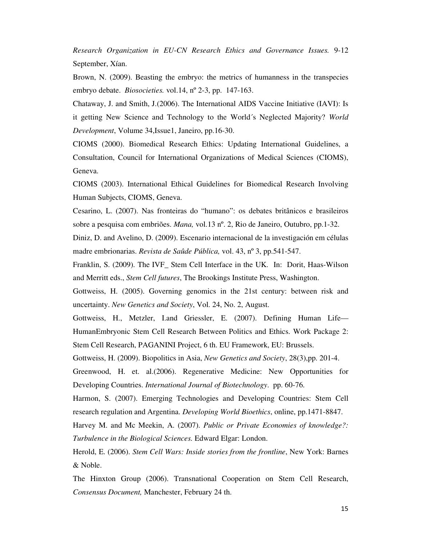*Research Organization in EU-CN Research Ethics and Governance Issues.* 9-12 September, Xían.

Brown, N. (2009). Beasting the embryo: the metrics of humanness in the transpecies embryo debate. *Biosocieties.* vol.14, nº 2-3, pp. 147-163.

Chataway, J. and Smith, J.(2006). The International AIDS Vaccine Initiative (IAVI): Is it getting New Science and Technology to the World´s Neglected Majority? *World Development*, Volume 34,Issue1, Janeiro, pp.16-30.

CIOMS (2000). Biomedical Research Ethics: Updating International Guidelines, a Consultation, Council for International Organizations of Medical Sciences (CIOMS), Geneva.

CIOMS (2003). International Ethical Guidelines for Biomedical Research Involving Human Subjects, CIOMS, Geneva.

Cesarino, L. (2007). Nas fronteiras do "humano": os debates britânicos e brasileiros sobre a pesquisa com embriões. *Mana,* vol.13 nº. 2, Rio de Janeiro, Outubro, pp.1-32.

Diniz, D. and Avelino, D. (2009). Escenario internacional de la investigación em células madre embrionarias. *Revista de Saûde Pública,* vol. 43, nº 3, pp.541-547.

Franklin, S. (2009). The IVF\_ Stem Cell Interface in the UK. In: Dorit, Haas-Wilson and Merritt eds., *Stem Cell futures*, The Brookings Institute Press, Washington.

Gottweiss, H. (2005). Governing genomics in the 21st century: between risk and uncertainty. *New Genetics and Society*, Vol. 24, No. 2, August.

Gottweiss, H., Metzler, I.and Griessler, E. (2007). Defining Human Life— HumanEmbryonic Stem Cell Research Between Politics and Ethics. Work Package 2: Stem Cell Research, PAGANINI Project, 6 th. EU Framework, EU: Brussels.

Gottweiss, H. (2009). Biopolitics in Asia, *New Genetics and Society*, 28(3),pp. 201-4.

Greenwood, H. et. al.(2006). Regenerative Medicine: New Opportunities for Developing Countries. *International Journal of Biotechnology*. pp. 60-76.

Harmon, S. (2007). Emerging Technologies and Developing Countries: Stem Cell research regulation and Argentina. *Developing World Bioethics*, online, pp.1471-8847.

Harvey M. and Mc Meekin, A. (2007). *Public or Private Economies of knowledge?: Turbulence in the Biological Sciences.* Edward Elgar: London.

Herold, E. (2006). *Stem Cell Wars: Inside stories from the frontline*, New York: Barnes & Noble.

The Hinxton Group (2006). Transnational Cooperation on Stem Cell Research, *Consensus Document,* Manchester, February 24 th.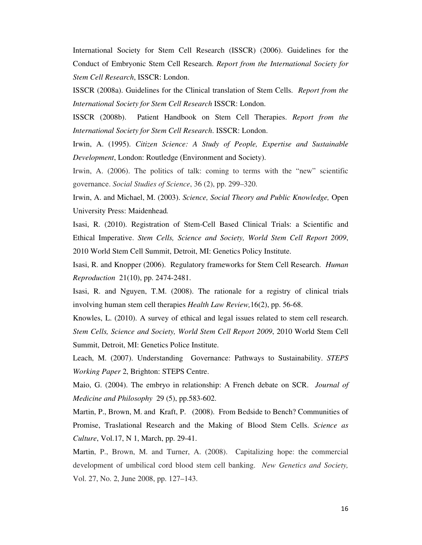International Society for Stem Cell Research (ISSCR) (2006). Guidelines for the Conduct of Embryonic Stem Cell Research. *Report from the International Society for Stem Cell Research*, ISSCR: London.

ISSCR (2008a). Guidelines for the Clinical translation of Stem Cells. *Report from the International Society for Stem Cell Research* ISSCR: London.

ISSCR (2008b). Patient Handbook on Stem Cell Therapies. *Report from the International Society for Stem Cell Research*. ISSCR: London.

Irwin, A. (1995). *Citizen Science: A Study of People, Expertise and Sustainable Development*, London: Routledge (Environment and Society).

Irwin, A. (2006). The politics of talk: coming to terms with the "new" scientific governance. *Social Studies of Science*, 36 (2), pp. 299–320.

Irwin, A. and Michael, M. (2003). *Science, Social Theory and Public Knowledge,* Open University Press: Maidenhead*.* 

Isasi, R. (2010). Registration of Stem-Cell Based Clinical Trials: a Scientific and Ethical Imperative. *Stem Cells, Science and Society, World Stem Cell Report 2009*, 2010 World Stem Cell Summit, Detroit, MI: Genetics Policy Institute.

Isasi, R. and Knopper (2006). Regulatory frameworks for Stem Cell Research. *Human Reproduction* 21(10), pp. 2474-2481.

Isasi, R. and Nguyen, T.M. (2008). The rationale for a registry of clinical trials involving human stem cell therapies *Health Law Review,*16(2), pp. 56-68.

Knowles, L. (2010). A survey of ethical and legal issues related to stem cell research. *Stem Cells, Science and Society, World Stem Cell Report 2009*, 2010 World Stem Cell Summit, Detroit, MI: Genetics Police Institute.

Leach, M. (2007). Understanding Governance: Pathways to Sustainability. *STEPS Working Paper* 2, Brighton: STEPS Centre.

Maio, G. (2004). The embryo in relationship: A French debate on SCR. *Journal of Medicine and Philosophy* 29 (5), pp.583-602.

Martin, P., Brown, M. and Kraft, P. (2008). From Bedside to Bench? Communities of Promise, Traslational Research and the Making of Blood Stem Cells. *Science as Culture*, Vol.17, N 1, March, pp. 29-41.

Martin, P., Brown, M. and Turner, A. (2008). Capitalizing hope: the commercial development of umbilical cord blood stem cell banking. *New Genetics and Society,* Vol. 27, No. 2, June 2008, pp. 127–143.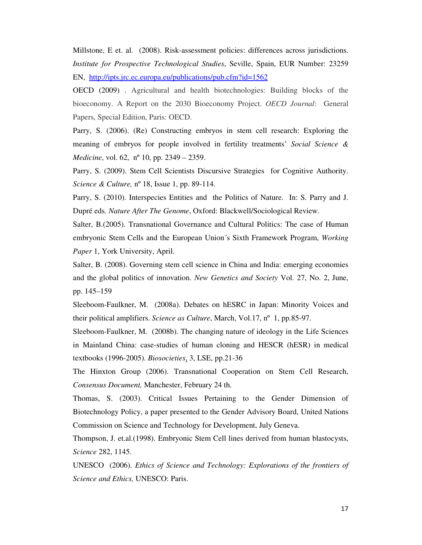Millstone, E et. al. (2008). Risk-assessment policies: differences across jurisdictions. *Institute for Prospective Technological Studies*, Seville, Spain, EUR Number: 23259 EN, http://ipts.jrc.ec.europa.eu/publications/pub.cfm?id=1562

OECD (2009) . Agricultural and health biotechnologies: Building blocks of the bioeconomy. A Report on the 2030 Bioeconomy Project. *OECD Journal*: General Papers, Special Edition, Paris: OECD.

Parry, S. (2006). (Re) Constructing embryos in stem cell research: Exploring the meaning of embryos for people involved in fertility treatments' *Social Science & Medicine*, vol. 62, nº 10, pp. 2349 – 2359.

Parry, S. (2009). Stem Cell Scientists Discursive Strategies for Cognitive Authority. *Science & Culture,* nº 18, Issue 1, pp. 89-114.

Parry, S. (2010). Interspecies Entities and the Politics of Nature. In: S. Parry and J. Dupré eds. *Nature After The Genome*, Oxford: Blackwell/Sociological Review.

Salter, B.(2005). Transnational Governance and Cultural Politics: The case of Human embryonic Stem Cells and the European Union´s Sixth Framework Program, *Working Paper* 1, York University, April.

Salter, B. (2008). Governing stem cell science in China and India: emerging economies and the global politics of innovation. *New Genetics and Society* Vol. 27, No. 2, June, pp. 145–159

Sleeboom-Faulkner, M. (2008a). Debates on hESRC in Japan: Minority Voices and their political amplifiers. *Science as Culture*, March, Vol.17, nº 1, pp.85-97.

Sleeboom-Faulkner, M. (2008b). The changing nature of ideology in the Life Sciences in Mainland China: case-studies of human cloning and HESCR (hESR) in medical textbooks (1996-2005). *Biosocieties*, 3, LSE, pp.21-36

The Hinxton Group (2006). Transnational Cooperation on Stem Cell Research, *Consensus Document,* Manchester, February 24 th.

Thomas, S. (2003). Critical Issues Pertaining to the Gender Dimension of Biotechnology Policy, a paper presented to the Gender Advisory Board, United Nations Commission on Science and Technology for Development, July Geneva.

Thompson, J. et.al.(1998). Embryonic Stem Cell lines derived from human blastocysts, *Science* 282, 1145.

UNESCO (2006). *Ethics of Science and Technology: Explorations of the frontiers of Science and Ethics,* UNESCO: Paris.